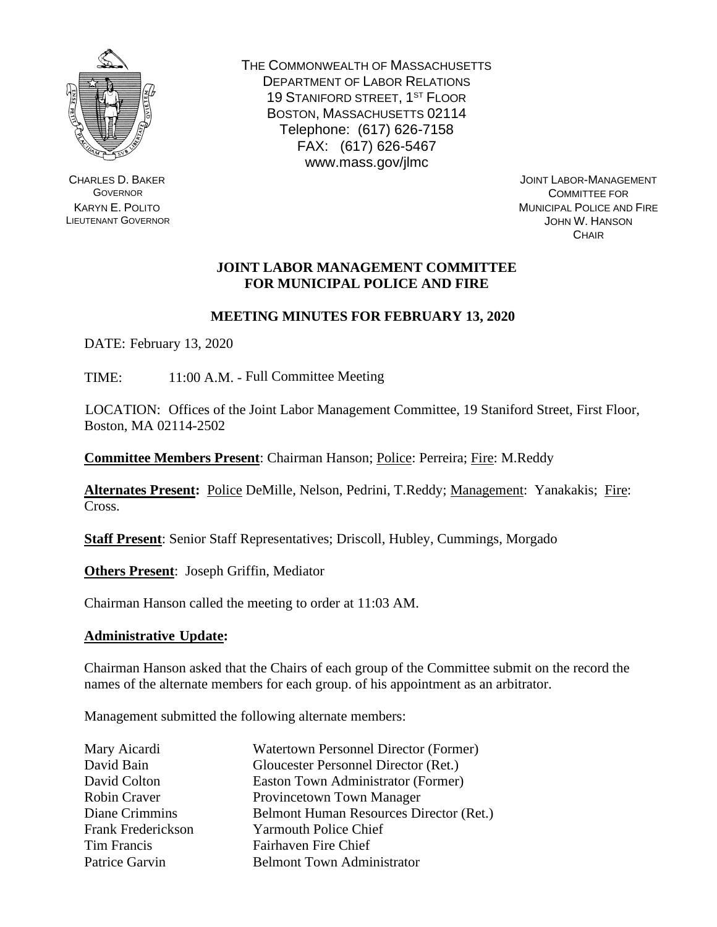

CHARLES D. BAKER **GOVERNOR** KARYN E. POLITO LIEUTENANT GOVERNOR THE COMMONWEALTH OF MASSACHUSETTS DEPARTMENT OF LABOR RELATIONS 19 STANIFORD STREET, 1ST FLOOR BOSTON, MASSACHUSETTS 02114 Telephone: (617) 626-7158 FAX: (617) 626-5467 www.mass.gov/jlmc

JOINT LABOR-MANAGEMENT COMMITTEE FOR MUNICIPAL POLICE AND FIRE JOHN W. HANSON **CHAIR** 

## **JOINT LABOR MANAGEMENT COMMITTEE FOR MUNICIPAL POLICE AND FIRE**

# **MEETING MINUTES FOR FEBRUARY 13, 2020**

DATE: February 13, 2020

TIME: 11:00 A.M. - Full Committee Meeting

LOCATION: Offices of the Joint Labor Management Committee, 19 Staniford Street, First Floor, Boston, MA 02114-2502

**Committee Members Present**: Chairman Hanson; Police: Perreira; Fire: M.Reddy

**Alternates Present:** Police DeMille, Nelson, Pedrini, T.Reddy; Management: Yanakakis; Fire: Cross.

**Staff Present**: Senior Staff Representatives; Driscoll, Hubley, Cummings, Morgado

**Others Present**: Joseph Griffin, Mediator

Chairman Hanson called the meeting to order at 11:03 AM.

## **Administrative Update:**

Chairman Hanson asked that the Chairs of each group of the Committee submit on the record the names of the alternate members for each group. of his appointment as an arbitrator.

Management submitted the following alternate members:

| Mary Aicardi              | <b>Watertown Personnel Director (Former)</b> |
|---------------------------|----------------------------------------------|
| David Bain                | Gloucester Personnel Director (Ret.)         |
| David Colton              | Easton Town Administrator (Former)           |
| Robin Craver              | Provincetown Town Manager                    |
| Diane Crimmins            | Belmont Human Resources Director (Ret.)      |
| <b>Frank Frederickson</b> | <b>Yarmouth Police Chief</b>                 |
| Tim Francis               | Fairhaven Fire Chief                         |
| Patrice Garvin            | <b>Belmont Town Administrator</b>            |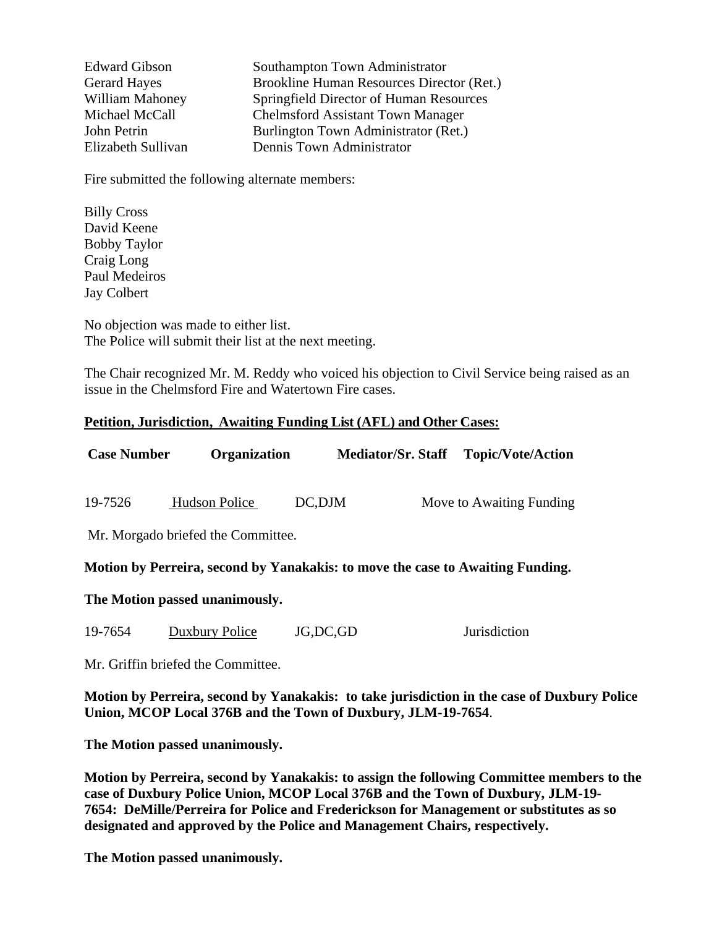Edward Gibson Southampton Town Administrator Gerard Hayes Brookline Human Resources Director (Ret.) William Mahoney Springfield Director of Human Resources Michael McCall Chelmsford Assistant Town Manager John Petrin Burlington Town Administrator (Ret.) Elizabeth Sullivan Dennis Town Administrator

Fire submitted the following alternate members:

Billy Cross David Keene Bobby Taylor Craig Long Paul Medeiros Jay Colbert

No objection was made to either list. The Police will submit their list at the next meeting.

The Chair recognized Mr. M. Reddy who voiced his objection to Civil Service being raised as an issue in the Chelmsford Fire and Watertown Fire cases.

#### **Petition, Jurisdiction, Awaiting Funding List (AFL) and Other Cases:**

| <b>Case Number</b> | <b>Organization</b>                | <b>Mediator/Sr. Staff</b> | <b>Topic/Vote/Action</b> |
|--------------------|------------------------------------|---------------------------|--------------------------|
| 19-7526            | <b>Hudson Police</b>               | DC, DJM                   | Move to Awaiting Funding |
|                    | Mr. Morgado briefed the Committee. |                           |                          |

#### **Motion by Perreira, second by Yanakakis: to move the case to Awaiting Funding.**

#### **The Motion passed unanimously.**

19-7654 Duxbury Police JG,DC,GD Jurisdiction

Mr. Griffin briefed the Committee.

**Motion by Perreira, second by Yanakakis: to take jurisdiction in the case of Duxbury Police Union, MCOP Local 376B and the Town of Duxbury, JLM-19-7654**.

**The Motion passed unanimously.**

**Motion by Perreira, second by Yanakakis: to assign the following Committee members to the case of Duxbury Police Union, MCOP Local 376B and the Town of Duxbury, JLM-19- 7654: DeMille/Perreira for Police and Frederickson for Management or substitutes as so designated and approved by the Police and Management Chairs, respectively.**

**The Motion passed unanimously.**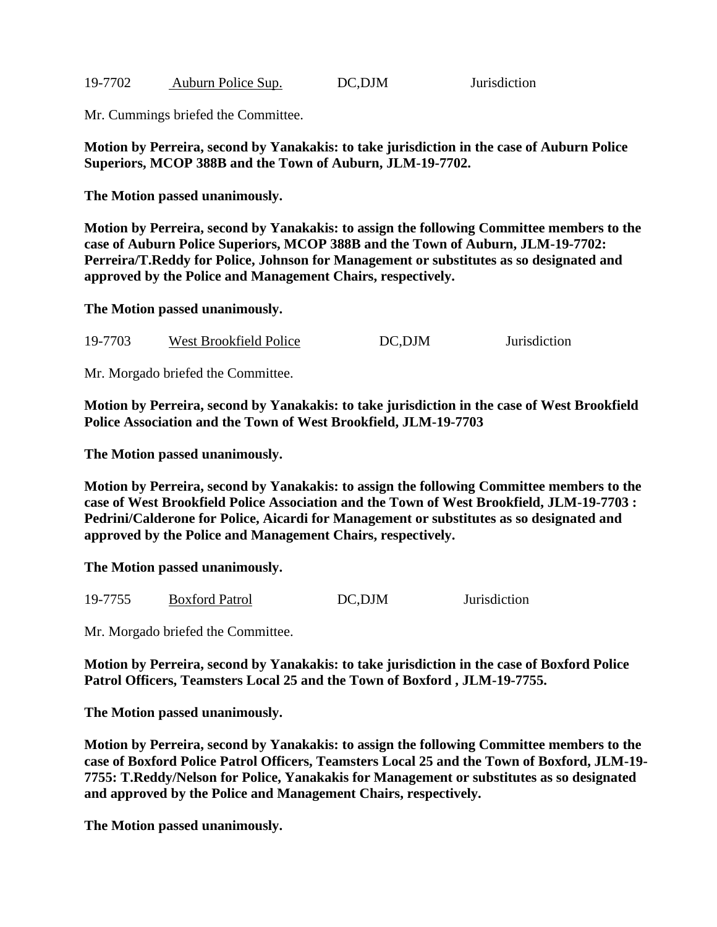| 19-7702 | Auburn Police Sup. | DC,DJM |  |
|---------|--------------------|--------|--|
|         |                    |        |  |

Mr. Cummings briefed the Committee.

**Motion by Perreira, second by Yanakakis: to take jurisdiction in the case of Auburn Police Superiors, MCOP 388B and the Town of Auburn, JLM-19-7702.**

Jurisdiction

**The Motion passed unanimously.**

**Motion by Perreira, second by Yanakakis: to assign the following Committee members to the case of Auburn Police Superiors, MCOP 388B and the Town of Auburn, JLM-19-7702: Perreira/T.Reddy for Police, Johnson for Management or substitutes as so designated and approved by the Police and Management Chairs, respectively.**

**The Motion passed unanimously.**

19-7703 West Brookfield Police DC,DJM Jurisdiction

Mr. Morgado briefed the Committee.

**Motion by Perreira, second by Yanakakis: to take jurisdiction in the case of West Brookfield Police Association and the Town of West Brookfield, JLM-19-7703**

**The Motion passed unanimously.**

**Motion by Perreira, second by Yanakakis: to assign the following Committee members to the case of West Brookfield Police Association and the Town of West Brookfield, JLM-19-7703 : Pedrini/Calderone for Police, Aicardi for Management or substitutes as so designated and approved by the Police and Management Chairs, respectively.**

**The Motion passed unanimously.**

| 19-7755 | <b>Boxford Patrol</b> | DC,DJM | <b>Jurisdiction</b> |
|---------|-----------------------|--------|---------------------|
|         |                       |        |                     |

Mr. Morgado briefed the Committee.

**Motion by Perreira, second by Yanakakis: to take jurisdiction in the case of Boxford Police Patrol Officers, Teamsters Local 25 and the Town of Boxford , JLM-19-7755.**

**The Motion passed unanimously.**

**Motion by Perreira, second by Yanakakis: to assign the following Committee members to the case of Boxford Police Patrol Officers, Teamsters Local 25 and the Town of Boxford, JLM-19- 7755: T.Reddy/Nelson for Police, Yanakakis for Management or substitutes as so designated and approved by the Police and Management Chairs, respectively.**

**The Motion passed unanimously.**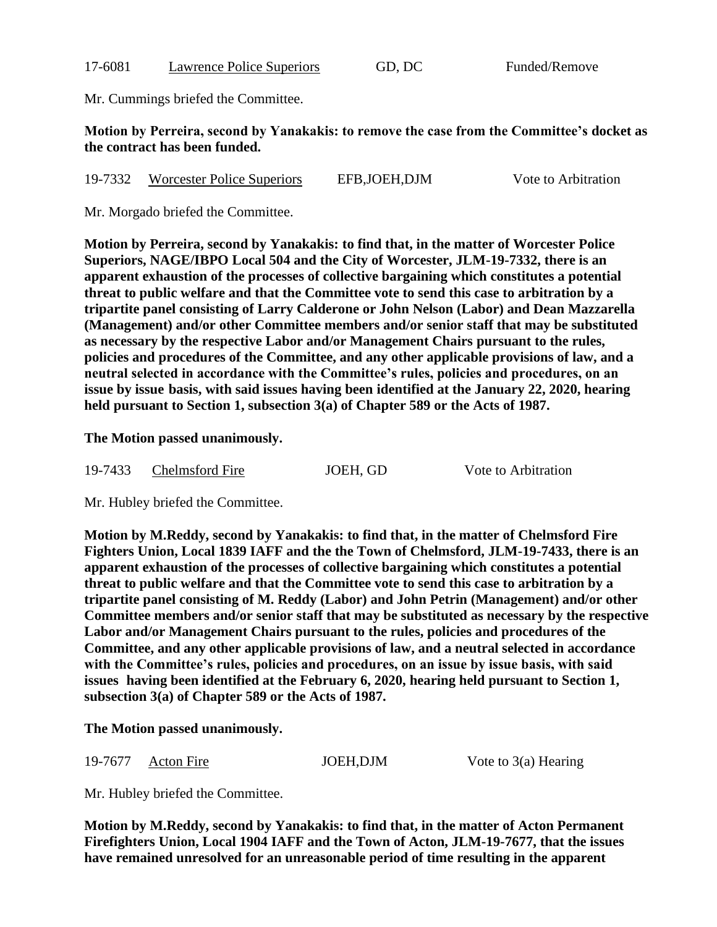| 17-6081<br><b>Lawrence Police Superiors</b> |
|---------------------------------------------|
|---------------------------------------------|

17-6081 Lawrence Police Superiors GD, DC Funded/Remove

Mr. Cummings briefed the Committee.

## **Motion by Perreira, second by Yanakakis: to remove the case from the Committee's docket as the contract has been funded.**

| 19-7332 | Worcester Police Superiors | EFB, JOEH, DJM | Vote to Arbitration |
|---------|----------------------------|----------------|---------------------|
|         |                            |                |                     |

Mr. Morgado briefed the Committee.

**Motion by Perreira, second by Yanakakis: to find that, in the matter of Worcester Police Superiors, NAGE/IBPO Local 504 and the City of Worcester, JLM-19-7332, there is an apparent exhaustion of the processes of collective bargaining which constitutes a potential threat to public welfare and that the Committee vote to send this case to arbitration by a tripartite panel consisting of Larry Calderone or John Nelson (Labor) and Dean Mazzarella (Management) and/or other Committee members and/or senior staff that may be substituted as necessary by the respective Labor and/or Management Chairs pursuant to the rules, policies and procedures of the Committee, and any other applicable provisions of law, and a neutral selected in accordance with the Committee's rules, policies and procedures, on an issue by issue basis, with said issues having been identified at the January 22, 2020, hearing held pursuant to Section 1, subsection 3(a) of Chapter 589 or the Acts of 1987.**

## **The Motion passed unanimously.**

| 19-7433 | Chelmsford Fire | JOEH, GD |
|---------|-----------------|----------|
|         |                 |          |

Vote to Arbitration

Mr. Hubley briefed the Committee.

**Motion by M.Reddy, second by Yanakakis: to find that, in the matter of Chelmsford Fire Fighters Union, Local 1839 IAFF and the the Town of Chelmsford, JLM-19-7433, there is an apparent exhaustion of the processes of collective bargaining which constitutes a potential threat to public welfare and that the Committee vote to send this case to arbitration by a tripartite panel consisting of M. Reddy (Labor) and John Petrin (Management) and/or other Committee members and/or senior staff that may be substituted as necessary by the respective Labor and/or Management Chairs pursuant to the rules, policies and procedures of the Committee, and any other applicable provisions of law, and a neutral selected in accordance with the Committee's rules, policies and procedures, on an issue by issue basis, with said issues having been identified at the February 6, 2020, hearing held pursuant to Section 1, subsection 3(a) of Chapter 589 or the Acts of 1987.**

**The Motion passed unanimously.**

| 19-7677 | Acton Fire | JOEH, DJM |
|---------|------------|-----------|
|---------|------------|-----------|

Vote to  $3(a)$  Hearing

Mr. Hubley briefed the Committee.

**Motion by M.Reddy, second by Yanakakis: to find that, in the matter of Acton Permanent Firefighters Union, Local 1904 IAFF and the Town of Acton, JLM-19-7677, that the issues have remained unresolved for an unreasonable period of time resulting in the apparent**